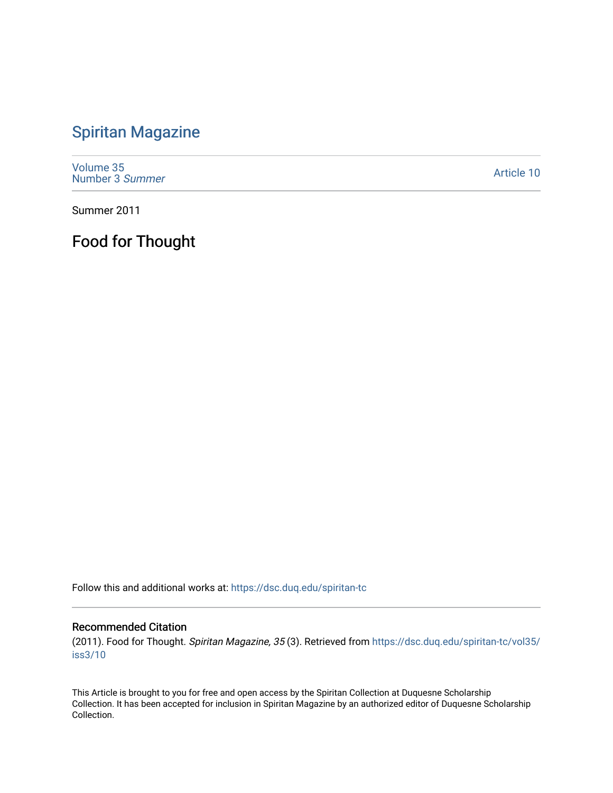## [Spiritan Magazine](https://dsc.duq.edu/spiritan-tc)

[Volume 35](https://dsc.duq.edu/spiritan-tc/vol35) [Number 3](https://dsc.duq.edu/spiritan-tc/vol35/iss3) Summer

[Article 10](https://dsc.duq.edu/spiritan-tc/vol35/iss3/10) 

Summer 2011

Food for Thought

Follow this and additional works at: [https://dsc.duq.edu/spiritan-tc](https://dsc.duq.edu/spiritan-tc?utm_source=dsc.duq.edu%2Fspiritan-tc%2Fvol35%2Fiss3%2F10&utm_medium=PDF&utm_campaign=PDFCoverPages)

## Recommended Citation

(2011). Food for Thought. Spiritan Magazine, 35 (3). Retrieved from [https://dsc.duq.edu/spiritan-tc/vol35/](https://dsc.duq.edu/spiritan-tc/vol35/iss3/10?utm_source=dsc.duq.edu%2Fspiritan-tc%2Fvol35%2Fiss3%2F10&utm_medium=PDF&utm_campaign=PDFCoverPages) [iss3/10](https://dsc.duq.edu/spiritan-tc/vol35/iss3/10?utm_source=dsc.duq.edu%2Fspiritan-tc%2Fvol35%2Fiss3%2F10&utm_medium=PDF&utm_campaign=PDFCoverPages) 

This Article is brought to you for free and open access by the Spiritan Collection at Duquesne Scholarship Collection. It has been accepted for inclusion in Spiritan Magazine by an authorized editor of Duquesne Scholarship Collection.